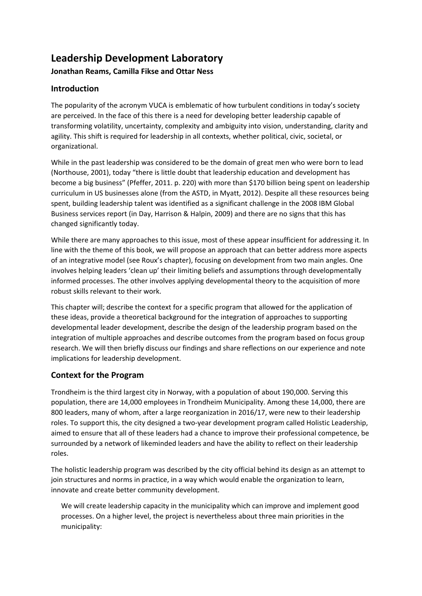# **Leadership Development Laboratory**

# **Jonathan Reams, Camilla Fikse and Ottar Ness**

# **Introduction**

The popularity of the acronym VUCA is emblematic of how turbulent conditions in today's society are perceived. In the face of this there is a need for developing better leadership capable of transforming volatility, uncertainty, complexity and ambiguity into vision, understanding, clarity and agility. This shift is required for leadership in all contexts, whether political, civic, societal, or organizational.

While in the past leadership was considered to be the domain of great men who were born to lead (Northouse, 2001), today "there is little doubt that leadership education and development has become a big business" (Pfeffer, 2011. p. 220) with more than \$170 billion being spent on leadership curriculum in US businesses alone (from the ASTD, in Myatt, 2012). Despite all these resources being spent, building leadership talent was identified as a significant challenge in the 2008 IBM Global Business services report (in Day, Harrison & Halpin, 2009) and there are no signs that this has changed significantly today.

While there are many approaches to this issue, most of these appear insufficient for addressing it. In line with the theme of this book, we will propose an approach that can better address more aspects of an integrative model (see Roux's chapter), focusing on development from two main angles. One involves helping leaders 'clean up' their limiting beliefs and assumptions through developmentally informed processes. The other involves applying developmental theory to the acquisition of more robust skills relevant to their work.

This chapter will; describe the context for a specific program that allowed for the application of these ideas, provide a theoretical background for the integration of approaches to supporting developmental leader development, describe the design of the leadership program based on the integration of multiple approaches and describe outcomes from the program based on focus group research. We will then briefly discuss our findings and share reflections on our experience and note implications for leadership development.

# **Context for the Program**

Trondheim is the third largest city in Norway, with a population of about 190,000. Serving this population, there are 14,000 employees in Trondheim Municipality. Among these 14,000, there are 800 leaders, many of whom, after a large reorganization in 2016/17, were new to their leadership roles. To support this, the city designed a two-year development program called Holistic Leadership, aimed to ensure that all of these leaders had a chance to improve their professional competence, be surrounded by a network of likeminded leaders and have the ability to reflect on their leadership roles.

The holistic leadership program was described by the city official behind its design as an attempt to join structures and norms in practice, in a way which would enable the organization to learn, innovate and create better community development.

We will create leadership capacity in the municipality which can improve and implement good processes. On a higher level, the project is nevertheless about three main priorities in the municipality: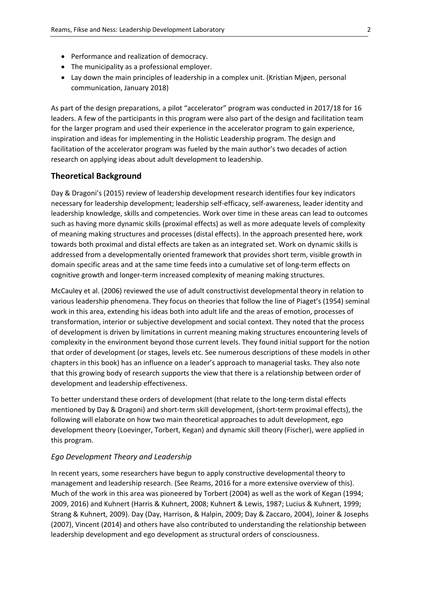- Performance and realization of democracy.
- The municipality as a professional employer.
- Lay down the main principles of leadership in a complex unit. (Kristian Mjøen, personal communication, January 2018)

As part of the design preparations, a pilot "accelerator" program was conducted in 2017/18 for 16 leaders. A few of the participants in this program were also part of the design and facilitation team for the larger program and used their experience in the accelerator program to gain experience, inspiration and ideas for implementing in the Holistic Leadership program. The design and facilitation of the accelerator program was fueled by the main author's two decades of action research on applying ideas about adult development to leadership.

#### **Theoretical Background**

Day & Dragoni's (2015) review of leadership development research identifies four key indicators necessary for leadership development; leadership self-efficacy, self-awareness, leader identity and leadership knowledge, skills and competencies. Work over time in these areas can lead to outcomes such as having more dynamic skills (proximal effects) as well as more adequate levels of complexity of meaning making structures and processes (distal effects). In the approach presented here, work towards both proximal and distal effects are taken as an integrated set. Work on dynamic skills is addressed from a developmentally oriented framework that provides short term, visible growth in domain specific areas and at the same time feeds into a cumulative set of long-term effects on cognitive growth and longer-term increased complexity of meaning making structures.

McCauley et al. (2006) reviewed the use of adult constructivist developmental theory in relation to various leadership phenomena. They focus on theories that follow the line of Piaget's (1954) seminal work in this area, extending his ideas both into adult life and the areas of emotion, processes of transformation, interior or subjective development and social context. They noted that the process of development is driven by limitations in current meaning making structures encountering levels of complexity in the environment beyond those current levels. They found initial support for the notion that order of development (or stages, levels etc. See numerous descriptions of these models in other chapters in this book) has an influence on a leader's approach to managerial tasks. They also note that this growing body of research supports the view that there is a relationship between order of development and leadership effectiveness.

To better understand these orders of development (that relate to the long-term distal effects mentioned by Day & Dragoni) and short-term skill development, (short-term proximal effects), the following will elaborate on how two main theoretical approaches to adult development, ego development theory (Loevinger, Torbert, Kegan) and dynamic skill theory (Fischer), were applied in this program.

#### *Ego Development Theory and Leadership*

In recent years, some researchers have begun to apply constructive developmental theory to management and leadership research. (See Reams, 2016 for a more extensive overview of this). Much of the work in this area was pioneered by Torbert (2004) as well as the work of Kegan (1994; 2009, 2016) and Kuhnert (Harris & Kuhnert, 2008; Kuhnert & Lewis, 1987; Lucius & Kuhnert, 1999; Strang & Kuhnert, 2009). Day (Day, Harrison, & Halpin, 2009; Day & Zaccaro, 2004), Joiner & Josephs (2007), Vincent (2014) and others have also contributed to understanding the relationship between leadership development and ego development as structural orders of consciousness.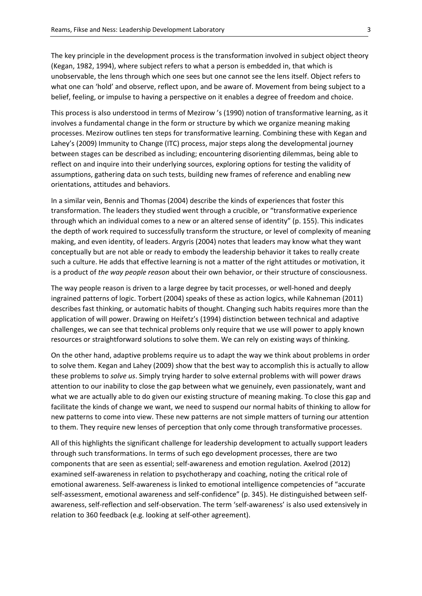The key principle in the development process is the transformation involved in subject object theory (Kegan, 1982, 1994), where subject refers to what a person is embedded in, that which is unobservable, the lens through which one sees but one cannot see the lens itself. Object refers to what one can 'hold' and observe, reflect upon, and be aware of. Movement from being subject to a belief, feeling, or impulse to having a perspective on it enables a degree of freedom and choice.

This process is also understood in terms of Mezirow 's (1990) notion of transformative learning, as it involves a fundamental change in the form or structure by which we organize meaning making processes. Mezirow outlines ten steps for transformative learning. Combining these with Kegan and Lahey's (2009) Immunity to Change (ITC) process, major steps along the developmental journey between stages can be described as including; encountering disorienting dilemmas, being able to reflect on and inquire into their underlying sources, exploring options for testing the validity of assumptions, gathering data on such tests, building new frames of reference and enabling new orientations, attitudes and behaviors.

In a similar vein, Bennis and Thomas (2004) describe the kinds of experiences that foster this transformation. The leaders they studied went through a crucible, or "transformative experience through which an individual comes to a new or an altered sense of identity" (p. 155). This indicates the depth of work required to successfully transform the structure, or level of complexity of meaning making, and even identity, of leaders. Argyris (2004) notes that leaders may know what they want conceptually but are not able or ready to embody the leadership behavior it takes to really create such a culture. He adds that effective learning is not a matter of the right attitudes or motivation, it is a product of *the way people reason* about their own behavior, or their structure of consciousness.

The way people reason is driven to a large degree by tacit processes, or well-honed and deeply ingrained patterns of logic. Torbert (2004) speaks of these as action logics, while Kahneman (2011) describes fast thinking, or automatic habits of thought. Changing such habits requires more than the application of will power. Drawing on Heifetz's (1994) distinction between technical and adaptive challenges, we can see that technical problems only require that we use will power to apply known resources or straightforward solutions to solve them. We can rely on existing ways of thinking.

On the other hand, adaptive problems require us to adapt the way we think about problems in order to solve them. Kegan and Lahey (2009) show that the best way to accomplish this is actually to allow these problems to *solve us*. Simply trying harder to solve external problems with will power draws attention to our inability to close the gap between what we genuinely, even passionately, want and what we are actually able to do given our existing structure of meaning making. To close this gap and facilitate the kinds of change we want, we need to suspend our normal habits of thinking to allow for new patterns to come into view. These new patterns are not simple matters of turning our attention to them. They require new lenses of perception that only come through transformative processes.

All of this highlights the significant challenge for leadership development to actually support leaders through such transformations. In terms of such ego development processes, there are two components that are seen as essential; self-awareness and emotion regulation. Axelrod (2012) examined self-awareness in relation to psychotherapy and coaching, noting the critical role of emotional awareness. Self-awareness is linked to emotional intelligence competencies of "accurate self-assessment, emotional awareness and self-confidence" (p. 345). He distinguished between selfawareness, self-reflection and self-observation. The term 'self-awareness' is also used extensively in relation to 360 feedback (e.g. looking at self-other agreement).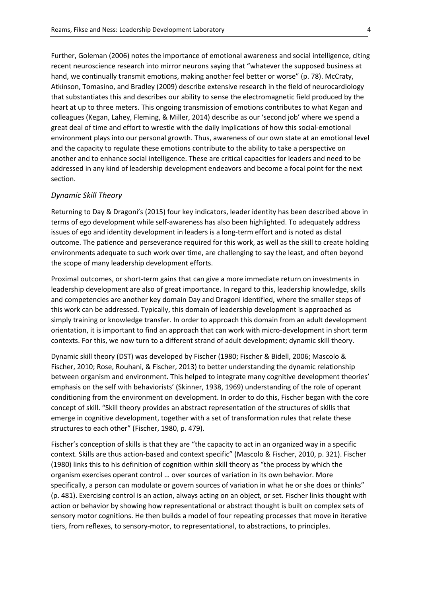Further, Goleman (2006) notes the importance of emotional awareness and social intelligence, citing recent neuroscience research into mirror neurons saying that "whatever the supposed business at hand, we continually transmit emotions, making another feel better or worse" (p. 78). McCraty, Atkinson, Tomasino, and Bradley (2009) describe extensive research in the field of neurocardiology that substantiates this and describes our ability to sense the electromagnetic field produced by the heart at up to three meters. This ongoing transmission of emotions contributes to what Kegan and colleagues (Kegan, Lahey, Fleming, & Miller, 2014) describe as our 'second job' where we spend a great deal of time and effort to wrestle with the daily implications of how this social-emotional environment plays into our personal growth. Thus, awareness of our own state at an emotional level and the capacity to regulate these emotions contribute to the ability to take a perspective on another and to enhance social intelligence. These are critical capacities for leaders and need to be addressed in any kind of leadership development endeavors and become a focal point for the next section.

#### *Dynamic Skill Theory*

Returning to Day & Dragoni's (2015) four key indicators, leader identity has been described above in terms of ego development while self-awareness has also been highlighted. To adequately address issues of ego and identity development in leaders is a long-term effort and is noted as distal outcome. The patience and perseverance required for this work, as well as the skill to create holding environments adequate to such work over time, are challenging to say the least, and often beyond the scope of many leadership development efforts.

Proximal outcomes, or short-term gains that can give a more immediate return on investments in leadership development are also of great importance. In regard to this, leadership knowledge, skills and competencies are another key domain Day and Dragoni identified, where the smaller steps of this work can be addressed. Typically, this domain of leadership development is approached as simply training or knowledge transfer. In order to approach this domain from an adult development orientation, it is important to find an approach that can work with micro-development in short term contexts. For this, we now turn to a different strand of adult development; dynamic skill theory.

Dynamic skill theory (DST) was developed by Fischer (1980; Fischer & Bidell, 2006; Mascolo & Fischer, 2010; Rose, Rouhani, & Fischer, 2013) to better understanding the dynamic relationship between organism and environment. This helped to integrate many cognitive development theories' emphasis on the self with behaviorists' (Skinner, 1938, 1969) understanding of the role of operant conditioning from the environment on development. In order to do this, Fischer began with the core concept of skill. "Skill theory provides an abstract representation of the structures of skills that emerge in cognitive development, together with a set of transformation rules that relate these structures to each other" (Fischer, 1980, p. 479).

Fischer's conception of skills is that they are "the capacity to act in an organized way in a specific context. Skills are thus action-based and context specific" (Mascolo & Fischer, 2010, p. 321). Fischer (1980) links this to his definition of cognition within skill theory as "the process by which the organism exercises operant control … over sources of variation in its own behavior. More specifically, a person can modulate or govern sources of variation in what he or she does or thinks" (p. 481). Exercising control is an action, always acting on an object, or set. Fischer links thought with action or behavior by showing how representational or abstract thought is built on complex sets of sensory motor cognitions. He then builds a model of four repeating processes that move in iterative tiers, from reflexes, to sensory-motor, to representational, to abstractions, to principles.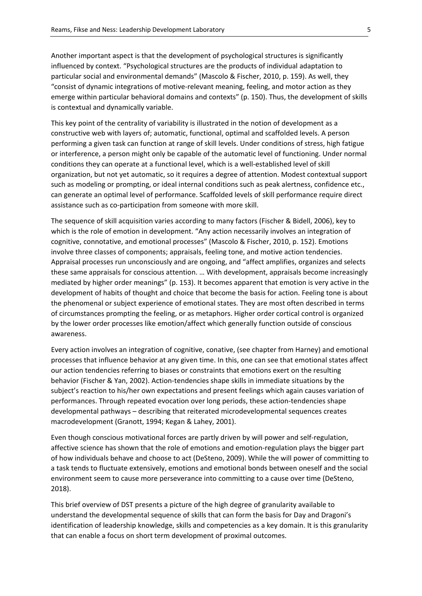Another important aspect is that the development of psychological structures is significantly influenced by context. "Psychological structures are the products of individual adaptation to particular social and environmental demands" (Mascolo & Fischer, 2010, p. 159). As well, they "consist of dynamic integrations of motive-relevant meaning, feeling, and motor action as they emerge within particular behavioral domains and contexts" (p. 150). Thus, the development of skills is contextual and dynamically variable.

This key point of the centrality of variability is illustrated in the notion of development as a constructive web with layers of; automatic, functional, optimal and scaffolded levels. A person performing a given task can function at range of skill levels. Under conditions of stress, high fatigue or interference, a person might only be capable of the automatic level of functioning. Under normal conditions they can operate at a functional level, which is a well-established level of skill organization, but not yet automatic, so it requires a degree of attention. Modest contextual support such as modeling or prompting, or ideal internal conditions such as peak alertness, confidence etc., can generate an optimal level of performance. Scaffolded levels of skill performance require direct assistance such as co-participation from someone with more skill.

The sequence of skill acquisition varies according to many factors (Fischer & Bidell, 2006), key to which is the role of emotion in development. "Any action necessarily involves an integration of cognitive, connotative, and emotional processes" (Mascolo & Fischer, 2010, p. 152). Emotions involve three classes of components; appraisals, feeling tone, and motive action tendencies. Appraisal processes run unconsciously and are ongoing, and "affect amplifies, organizes and selects these same appraisals for conscious attention. … With development, appraisals become increasingly mediated by higher order meanings" (p. 153). It becomes apparent that emotion is very active in the development of habits of thought and choice that become the basis for action. Feeling tone is about the phenomenal or subject experience of emotional states. They are most often described in terms of circumstances prompting the feeling, or as metaphors. Higher order cortical control is organized by the lower order processes like emotion/affect which generally function outside of conscious awareness.

Every action involves an integration of cognitive, conative, (see chapter from Harney) and emotional processes that influence behavior at any given time. In this, one can see that emotional states affect our action tendencies referring to biases or constraints that emotions exert on the resulting behavior (Fischer & Yan, 2002). Action-tendencies shape skills in immediate situations by the subject's reaction to his/her own expectations and present feelings which again causes variation of performances. Through repeated evocation over long periods, these action-tendencies shape developmental pathways – describing that reiterated microdevelopmental sequences creates macrodevelopment (Granott, 1994; Kegan & Lahey, 2001).

Even though conscious motivational forces are partly driven by will power and self-regulation, affective science has shown that the role of emotions and emotion-regulation plays the bigger part of how individuals behave and choose to act (DeSteno, 2009). While the will power of committing to a task tends to fluctuate extensively, emotions and emotional bonds between oneself and the social environment seem to cause more perseverance into committing to a cause over time (DeSteno, 2018).

This brief overview of DST presents a picture of the high degree of granularity available to understand the developmental sequence of skills that can form the basis for Day and Dragoni's identification of leadership knowledge, skills and competencies as a key domain. It is this granularity that can enable a focus on short term development of proximal outcomes.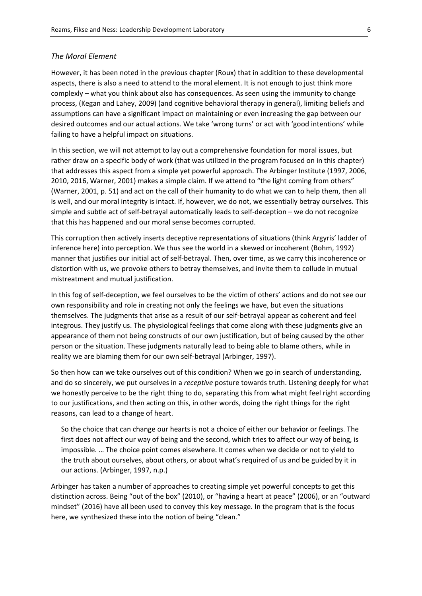#### *The Moral Element*

However, it has been noted in the previous chapter (Roux) that in addition to these developmental aspects, there is also a need to attend to the moral element. It is not enough to just think more complexly – what you think about also has consequences. As seen using the immunity to change process, (Kegan and Lahey, 2009) (and cognitive behavioral therapy in general), limiting beliefs and assumptions can have a significant impact on maintaining or even increasing the gap between our desired outcomes and our actual actions. We take 'wrong turns' or act with 'good intentions' while failing to have a helpful impact on situations.

In this section, we will not attempt to lay out a comprehensive foundation for moral issues, but rather draw on a specific body of work (that was utilized in the program focused on in this chapter) that addresses this aspect from a simple yet powerful approach. The Arbinger Institute (1997, 2006, 2010, 2016, Warner, 2001) makes a simple claim. If we attend to "the light coming from others" (Warner, 2001, p. 51) and act on the call of their humanity to do what we can to help them, then all is well, and our moral integrity is intact. If, however, we do not, we essentially betray ourselves. This simple and subtle act of self-betrayal automatically leads to self-deception – we do not recognize that this has happened and our moral sense becomes corrupted.

This corruption then actively inserts deceptive representations of situations (think Argyris' ladder of inference here) into perception. We thus see the world in a skewed or incoherent (Bohm, 1992) manner that justifies our initial act of self-betrayal. Then, over time, as we carry this incoherence or distortion with us, we provoke others to betray themselves, and invite them to collude in mutual mistreatment and mutual justification.

In this fog of self-deception, we feel ourselves to be the victim of others' actions and do not see our own responsibility and role in creating not only the feelings we have, but even the situations themselves. The judgments that arise as a result of our self-betrayal appear as coherent and feel integrous. They justify us. The physiological feelings that come along with these judgments give an appearance of them not being constructs of our own justification, but of being caused by the other person or the situation. These judgments naturally lead to being able to blame others, while in reality we are blaming them for our own self-betrayal (Arbinger, 1997).

So then how can we take ourselves out of this condition? When we go in search of understanding, and do so sincerely, we put ourselves in a *receptive* posture towards truth. Listening deeply for what we honestly perceive to be the right thing to do, separating this from what might feel right according to our justifications, and then acting on this, in other words, doing the right things for the right reasons, can lead to a change of heart.

So the choice that can change our hearts is not a choice of either our behavior or feelings. The first does not affect our way of being and the second, which tries to affect our way of being, is impossible. … The choice point comes elsewhere. It comes when we decide or not to yield to the truth about ourselves, about others, or about what's required of us and be guided by it in our actions. (Arbinger, 1997, n.p.)

Arbinger has taken a number of approaches to creating simple yet powerful concepts to get this distinction across. Being "out of the box" (2010), or "having a heart at peace" (2006), or an "outward mindset" (2016) have all been used to convey this key message. In the program that is the focus here, we synthesized these into the notion of being "clean."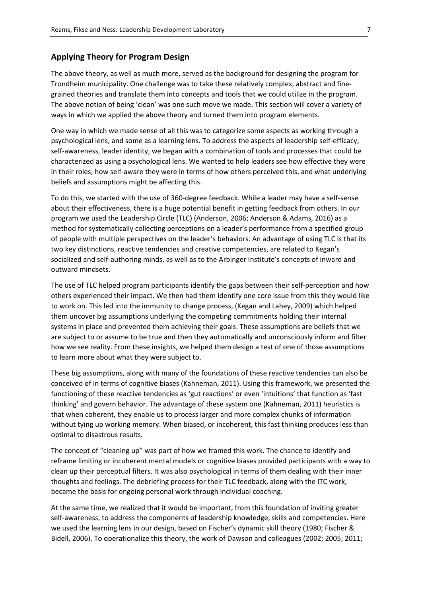#### **Applying Theory for Program Design**

The above theory, as well as much more, served as the background for designing the program for Trondheim municipality. One challenge was to take these relatively complex, abstract and finegrained theories and translate them into concepts and tools that we could utilize in the program. The above notion of being 'clean' was one such move we made. This section will cover a variety of ways in which we applied the above theory and turned them into program elements.

One way in which we made sense of all this was to categorize some aspects as working through a psychological lens, and some as a learning lens. To address the aspects of leadership self-efficacy, self-awareness, leader identity, we began with a combination of tools and processes that could be characterized as using a psychological lens. We wanted to help leaders see how effective they were in their roles, how self-aware they were in terms of how others perceived this, and what underlying beliefs and assumptions might be affecting this.

To do this, we started with the use of 360-degree feedback. While a leader may have a self-sense about their effectiveness, there is a huge potential benefit in getting feedback from others. In our program we used the Leadership Circle (TLC) (Anderson, 2006; Anderson & Adams, 2016) as a method for systematically collecting perceptions on a leader's performance from a specified group of people with multiple perspectives on the leader's behaviors. An advantage of using TLC is that its two key distinctions, reactive tendencies and creative competencies, are related to Kegan's socialized and self-authoring minds, as well as to the Arbinger Institute's concepts of inward and outward mindsets.

The use of TLC helped program participants identify the gaps between their self-perception and how others experienced their impact. We then had them identify one core issue from this they would like to work on. This led into the immunity to change process, (Kegan and Lahey, 2009) which helped them uncover big assumptions underlying the competing commitments holding their internal systems in place and prevented them achieving their goals. These assumptions are beliefs that we are subject to or assume to be true and then they automatically and unconsciously inform and filter how we see reality. From these insights, we helped them design a test of one of those assumptions to learn more about what they were subject to.

These big assumptions, along with many of the foundations of these reactive tendencies can also be conceived of in terms of cognitive biases (Kahneman, 2011). Using this framework, we presented the functioning of these reactive tendencies as 'gut reactions' or even 'intuitions' that function as 'fast thinking' and govern behavior. The advantage of these system one (Kahneman, 2011) heuristics is that when coherent, they enable us to process larger and more complex chunks of information without tying up working memory. When biased, or incoherent, this fast thinking produces less than optimal to disastrous results.

The concept of "cleaning up" was part of how we framed this work. The chance to identify and reframe limiting or incoherent mental models or cognitive biases provided participants with a way to clean up their perceptual filters. It was also psychological in terms of them dealing with their inner thoughts and feelings. The debriefing process for their TLC feedback, along with the ITC work, became the basis for ongoing personal work through individual coaching.

At the same time, we realized that it would be important, from this foundation of inviting greater self-awareness, to address the components of leadership knowledge, skills and competencies. Here we used the learning lens in our design, based on Fischer's dynamic skill theory (1980; Fischer & Bidell, 2006). To operationalize this theory, the work of Dawson and colleagues (2002; 2005; 2011;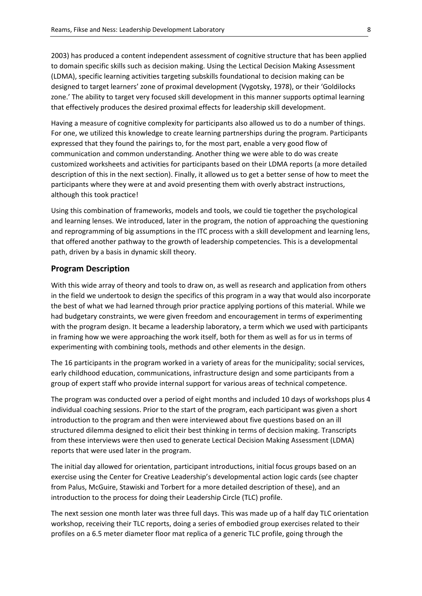2003) has produced a content independent assessment of cognitive structure that has been applied to domain specific skills such as decision making. Using the Lectical Decision Making Assessment (LDMA), specific learning activities targeting subskills foundational to decision making can be designed to target learners' zone of proximal development (Vygotsky, 1978), or their 'Goldilocks zone.' The ability to target very focused skill development in this manner supports optimal learning that effectively produces the desired proximal effects for leadership skill development.

Having a measure of cognitive complexity for participants also allowed us to do a number of things. For one, we utilized this knowledge to create learning partnerships during the program. Participants expressed that they found the pairings to, for the most part, enable a very good flow of communication and common understanding. Another thing we were able to do was create customized worksheets and activities for participants based on their LDMA reports (a more detailed description of this in the next section). Finally, it allowed us to get a better sense of how to meet the participants where they were at and avoid presenting them with overly abstract instructions, although this took practice!

Using this combination of frameworks, models and tools, we could tie together the psychological and learning lenses. We introduced, later in the program, the notion of approaching the questioning and reprogramming of big assumptions in the ITC process with a skill development and learning lens, that offered another pathway to the growth of leadership competencies. This is a developmental path, driven by a basis in dynamic skill theory.

# **Program Description**

With this wide array of theory and tools to draw on, as well as research and application from others in the field we undertook to design the specifics of this program in a way that would also incorporate the best of what we had learned through prior practice applying portions of this material. While we had budgetary constraints, we were given freedom and encouragement in terms of experimenting with the program design. It became a leadership laboratory, a term which we used with participants in framing how we were approaching the work itself, both for them as well as for us in terms of experimenting with combining tools, methods and other elements in the design.

The 16 participants in the program worked in a variety of areas for the municipality; social services, early childhood education, communications, infrastructure design and some participants from a group of expert staff who provide internal support for various areas of technical competence.

The program was conducted over a period of eight months and included 10 days of workshops plus 4 individual coaching sessions. Prior to the start of the program, each participant was given a short introduction to the program and then were interviewed about five questions based on an ill structured dilemma designed to elicit their best thinking in terms of decision making. Transcripts from these interviews were then used to generate Lectical Decision Making Assessment (LDMA) reports that were used later in the program.

The initial day allowed for orientation, participant introductions, initial focus groups based on an exercise using the Center for Creative Leadership's developmental action logic cards (see chapter from Palus, McGuire, Stawiski and Torbert for a more detailed description of these), and an introduction to the process for doing their Leadership Circle (TLC) profile.

The next session one month later was three full days. This was made up of a half day TLC orientation workshop, receiving their TLC reports, doing a series of embodied group exercises related to their profiles on a 6.5 meter diameter floor mat replica of a generic TLC profile, going through the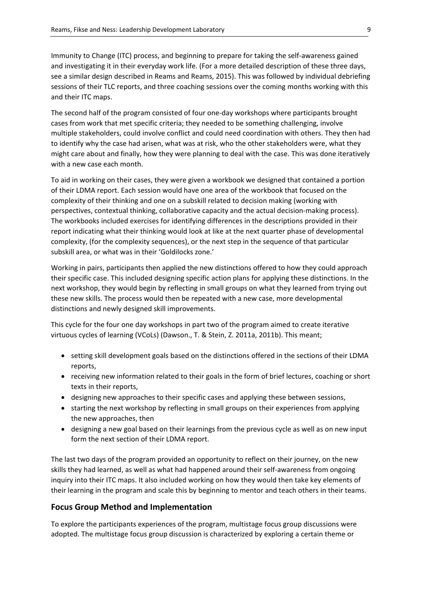Immunity to Change (ITC) process, and beginning to prepare for taking the self-awareness gained and investigating it in their everyday work life. (For a more detailed description of these three days, see a similar design described in Reams and Reams, 2015). This was followed by individual debriefing sessions of their TLC reports, and three coaching sessions over the coming months working with this and their ITC maps.

The second half of the program consisted of four one-day workshops where participants brought cases from work that met specific criteria; they needed to be something challenging, involve multiple stakeholders, could involve conflict and could need coordination with others. They then had to identify why the case had arisen, what was at risk, who the other stakeholders were, what they might care about and finally, how they were planning to deal with the case. This was done iteratively with a new case each month.

To aid in working on their cases, they were given a workbook we designed that contained a portion of their LDMA report. Each session would have one area of the workbook that focused on the complexity of their thinking and one on a subskill related to decision making (working with perspectives, contextual thinking, collaborative capacity and the actual decision-making process). The workbooks included exercises for identifying differences in the descriptions provided in their report indicating what their thinking would look at like at the next quarter phase of developmental complexity, (for the complexity sequences), or the next step in the sequence of that particular subskill area, or what was in their 'Goldilocks zone.'

Working in pairs, participants then applied the new distinctions offered to how they could approach their specific case. This included designing specific action plans for applying these distinctions. In the next workshop, they would begin by reflecting in small groups on what they learned from trying out these new skills. The process would then be repeated with a new case, more developmental distinctions and newly designed skill improvements.

This cycle for the four one day workshops in part two of the program aimed to create iterative virtuous cycles of learning (VCoLs) (Dawson., T. & Stein, Z. 2011a, 2011b). This meant;

- setting skill development goals based on the distinctions offered in the sections of their LDMA reports,
- receiving new information related to their goals in the form of brief lectures, coaching or short texts in their reports,
- designing new approaches to their specific cases and applying these between sessions,
- starting the next workshop by reflecting in small groups on their experiences from applying the new approaches, then
- designing a new goal based on their learnings from the previous cycle as well as on new input form the next section of their LDMA report.

The last two days of the program provided an opportunity to reflect on their journey, on the new skills they had learned, as well as what had happened around their self-awareness from ongoing inquiry into their ITC maps. It also included working on how they would then take key elements of their learning in the program and scale this by beginning to mentor and teach others in their teams.

#### **Focus Group Method and Implementation**

To explore the participants experiences of the program, multistage focus group discussions were adopted. The multistage focus group discussion is characterized by exploring a certain theme or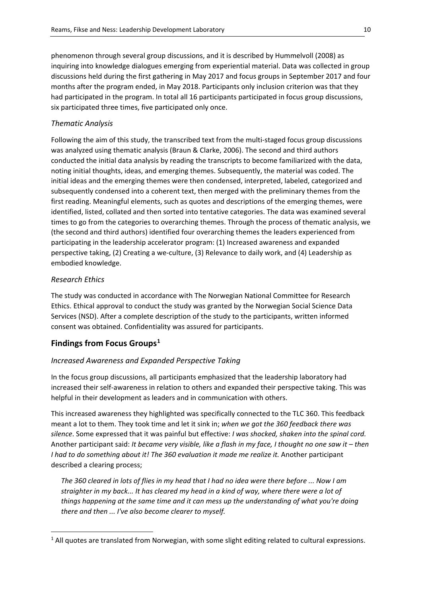phenomenon through several group discussions, and it is described by Hummelvoll (2008) as inquiring into knowledge dialogues emerging from experiential material. Data was collected in group discussions held during the first gathering in May 2017 and focus groups in September 2017 and four months after the program ended, in May 2018. Participants only inclusion criterion was that they had participated in the program. In total all 16 participants participated in focus group discussions, six participated three times, five participated only once.

# *Thematic Analysis*

Following the aim of this study, the transcribed text from the multi-staged focus group discussions was analyzed using thematic analysis (Braun & Clarke, 2006). The second and third authors conducted the initial data analysis by reading the transcripts to become familiarized with the data, noting initial thoughts, ideas, and emerging themes. Subsequently, the material was coded. The initial ideas and the emerging themes were then condensed, interpreted, labeled, categorized and subsequently condensed into a coherent text, then merged with the preliminary themes from the first reading. Meaningful elements, such as quotes and descriptions of the emerging themes, were identified, listed, collated and then sorted into tentative categories. The data was examined several times to go from the categories to overarching themes. Through the process of thematic analysis, we (the second and third authors) identified four overarching themes the leaders experienced from participating in the leadership accelerator program: (1) Increased awareness and expanded perspective taking, (2) Creating a we-culture, (3) Relevance to daily work, and (4) Leadership as embodied knowledge.

## *Research Ethics*

The study was conducted in accordance with The Norwegian National Committee for Research Ethics. Ethical approval to conduct the study was granted by the Norwegian Social Science Data Services (NSD). After a complete description of the study to the participants, written informed consent was obtained. Confidentiality was assured for participants.

# **Findings from Focus Groups[1](#page-9-0)**

## *Increased Awareness and Expanded Perspective Taking*

In the focus group discussions, all participants emphasized that the leadership laboratory had increased their self-awareness in relation to others and expanded their perspective taking. This was helpful in their development as leaders and in communication with others.

This increased awareness they highlighted was specifically connected to the TLC 360. This feedback meant a lot to them. They took time and let it sink in; *when we got the 360 feedback there was silence*. Some expressed that it was painful but effective: *I was shocked, shaken into the spinal cord.* Another participant said: *It became very visible, like a flash in my face, I thought no one saw it – then I had to do something about it! The 360 evaluation it made me realize it.* Another participant described a clearing process;

*The 360 cleared in lots of flies in my head that I had no idea were there before ... Now I am straighter in my back... It has cleared my head in a kind of way, where there were a lot of things happening at the same time and it can mess up the understanding of what you're doing there and then ... I've also become clearer to myself.* 

<span id="page-9-0"></span> $<sup>1</sup>$  All quotes are translated from Norwegian, with some slight editing related to cultural expressions.</sup>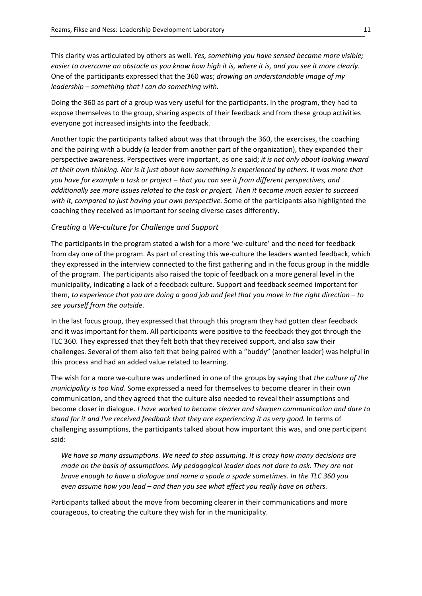This clarity was articulated by others as well. *Yes, something you have sensed became more visible; easier to overcome an obstacle as you know how high it is, where it is, and you see it more clearly.* One of the participants expressed that the 360 was; *drawing an understandable image of my leadership – something that I can do something with.*

Doing the 360 as part of a group was very useful for the participants. In the program, they had to expose themselves to the group, sharing aspects of their feedback and from these group activities everyone got increased insights into the feedback.

Another topic the participants talked about was that through the 360, the exercises, the coaching and the pairing with a buddy (a leader from another part of the organization), they expanded their perspective awareness. Perspectives were important, as one said; *it is not only about looking inward at their own thinking. Nor is it just about how something is experienced by others. It was more that you have for example a task or project – that you can see it from different perspectives, and additionally see more issues related to the task or project. Then it became much easier to succeed with it, compared to just having your own perspective.* Some of the participants also highlighted the coaching they received as important for seeing diverse cases differently.

#### *Creating a We-culture for Challenge and Support*

The participants in the program stated a wish for a more 'we-culture' and the need for feedback from day one of the program. As part of creating this we-culture the leaders wanted feedback, which they expressed in the interview connected to the first gathering and in the focus group in the middle of the program. The participants also raised the topic of feedback on a more general level in the municipality, indicating a lack of a feedback culture. Support and feedback seemed important for them, *to experience that you are doing a good job and feel that you move in the right direction – to see yourself from the outside*.

In the last focus group, they expressed that through this program they had gotten clear feedback and it was important for them. All participants were positive to the feedback they got through the TLC 360. They expressed that they felt both that they received support, and also saw their challenges. Several of them also felt that being paired with a "buddy" (another leader) was helpful in this process and had an added value related to learning.

The wish for a more we-culture was underlined in one of the groups by saying that *the culture of the municipality is too kind*. Some expressed a need for themselves to become clearer in their own communication, and they agreed that the culture also needed to reveal their assumptions and become closer in dialogue. *I have worked to become clearer and sharpen communication and dare to stand for it and I've received feedback that they are experiencing it as very good.* In terms of challenging assumptions, the participants talked about how important this was, and one participant said:

*We have so many assumptions. We need to stop assuming. It is crazy how many decisions are made on the basis of assumptions. My pedagogical leader does not dare to ask. They are not brave enough to have a dialogue and name a spade a spade sometimes. In the TLC 360 you even assume how you lead – and then you see what effect you really have on others.* 

Participants talked about the move from becoming clearer in their communications and more courageous, to creating the culture they wish for in the municipality.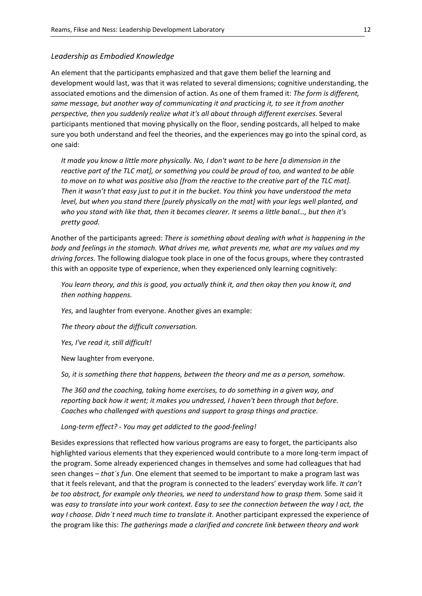## *Leadership as Embodied Knowledge*

An element that the participants emphasized and that gave them belief the learning and development would last, was that it was related to several dimensions; cognitive understanding, the associated emotions and the dimension of action. As one of them framed it: *The form is different, same message, but another way of communicating it and practicing it, to see it from another perspective, then you suddenly realize what it's all about through different exercises.* Several participants mentioned that moving physically on the floor, sending postcards, all helped to make sure you both understand and feel the theories, and the experiences may go into the spinal cord, as one said:

*It made you know a little more physically. No, I don't want to be here [a dimension in the reactive part of the TLC mat], or something you could be proud of too, and wanted to be able to move on to what was positive also [from the reactive to the creative part of the TLC mat]. Then it wasn't that easy just to put it in the bucket. You think you have understood the meta level, but when you stand there [purely physically on the mat] with your legs well planted, and who you stand with like that, then it becomes clearer. It seems a little banal…, but then it's pretty good.* 

Another of the participants agreed: *There is something about dealing with what is happening in the body and feelings in the stomach. What drives me, what prevents me, what are my values and my driving forces.* The following dialogue took place in one of the focus groups, where they contrasted this with an opposite type of experience, when they experienced only learning cognitively:

*You learn theory, and this is good, you actually think it, and then okay then you know it, and then nothing happens.*

*Yes,* and laughter from everyone. Another gives an example:

*The theory about the difficult conversation.*

*Yes, I've read it, still difficult!*

New laughter from everyone.

*So, it is something there that happens, between the theory and me as a person, somehow.*

*The 360 and the coaching, taking home exercises, to do something in a given way, and reporting back how it went; it makes you undressed, I haven't been through that before. Coaches who challenged with questions and support to grasp things and practice.*

*Long-term effect? - You may get addicted to the good-feeling!*

Besides expressions that reflected how various programs are easy to forget, the participants also highlighted various elements that they experienced would contribute to a more long-term impact of the program. Some already experienced changes in themselves and some had colleagues that had seen changes – *that´s fun*. One element that seemed to be important to make a program last was that it feels relevant, and that the program is connected to the leaders' everyday work life. *It can't be too abstract, for example only theories, we need to understand how to grasp them.* Some said it was *easy to translate into your work context. Easy to see the connection between the way I act, the way I choose. Didn´t need much time to translate it*. Another participant expressed the experience of the program like this: *The gatherings made a clarified and concrete link between theory and work*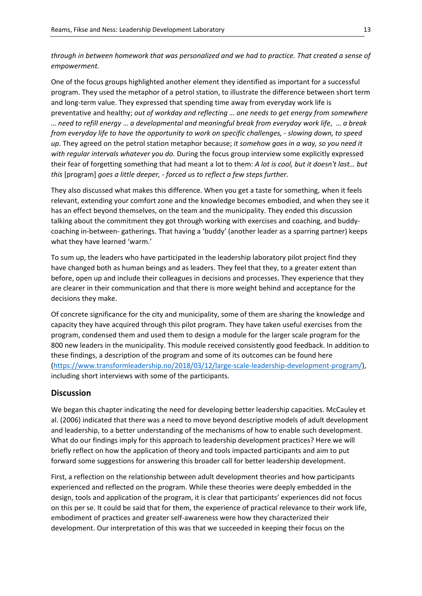*through in between homework that was personalized and we had to practice. That created a sense of empowerment.*

One of the focus groups highlighted another element they identified as important for a successful program. They used the metaphor of a petrol station, to illustrate the difference between short term and long-term value. They expressed that spending time away from everyday work life is preventative and healthy; *out of workday and reflecting … one needs to get energy from somewhere … need to refill energy* … *a developmental and meaningful break from everyday work life*, … *a break from everyday life to have the opportunity to work on specific challenges, - slowing down, to speed up*. They agreed on the petrol station metaphor because; *it somehow goes in a way, so you need it with regular intervals whatever you do.* During the focus group interview some explicitly expressed their fear of forgetting something that had meant a lot to them: *A lot is cool, but it doesn't last… but this* [program] *goes a little deeper, - forced us to reflect a few steps further.*

They also discussed what makes this difference. When you get a taste for something, when it feels relevant, extending your comfort zone and the knowledge becomes embodied, and when they see it has an effect beyond themselves, on the team and the municipality. They ended this discussion talking about the commitment they got through working with exercises and coaching, and buddycoaching in-between- gatherings. That having a 'buddy' (another leader as a sparring partner) keeps what they have learned 'warm.'

To sum up, the leaders who have participated in the leadership laboratory pilot project find they have changed both as human beings and as leaders. They feel that they, to a greater extent than before, open up and include their colleagues in decisions and processes. They experience that they are clearer in their communication and that there is more weight behind and acceptance for the decisions they make.

Of concrete significance for the city and municipality, some of them are sharing the knowledge and capacity they have acquired through this pilot program. They have taken useful exercises from the program, condensed them and used them to design a module for the larger scale program for the 800 new leaders in the municipality. This module received consistently good feedback. In addition to these findings, a description of the program and some of its outcomes can be found here [\(https://www.transformleadership.no/2018/03/12/large-scale-leadership-development-program/\)](https://www.transformleadership.no/2018/03/12/large-scale-leadership-development-program/), including short interviews with some of the participants.

#### **Discussion**

We began this chapter indicating the need for developing better leadership capacities. McCauley et al. (2006) indicated that there was a need to move beyond descriptive models of adult development and leadership, to a better understanding of the mechanisms of how to enable such development. What do our findings imply for this approach to leadership development practices? Here we will briefly reflect on how the application of theory and tools impacted participants and aim to put forward some suggestions for answering this broader call for better leadership development.

First, a reflection on the relationship between adult development theories and how participants experienced and reflected on the program. While these theories were deeply embedded in the design, tools and application of the program, it is clear that participants' experiences did not focus on this per se. It could be said that for them, the experience of practical relevance to their work life, embodiment of practices and greater self-awareness were how they characterized their development. Our interpretation of this was that we succeeded in keeping their focus on the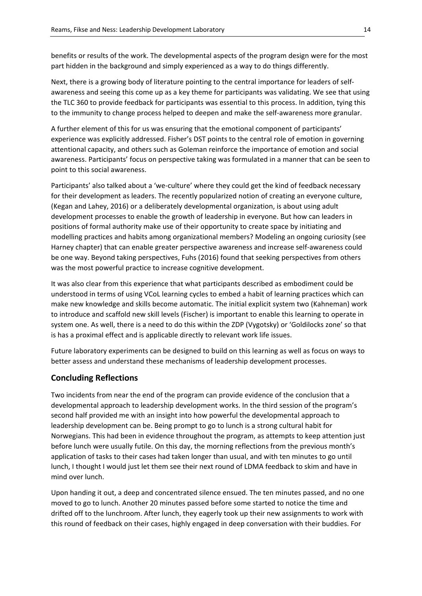benefits or results of the work. The developmental aspects of the program design were for the most part hidden in the background and simply experienced as a way to do things differently.

Next, there is a growing body of literature pointing to the central importance for leaders of selfawareness and seeing this come up as a key theme for participants was validating. We see that using the TLC 360 to provide feedback for participants was essential to this process. In addition, tying this to the immunity to change process helped to deepen and make the self-awareness more granular.

A further element of this for us was ensuring that the emotional component of participants' experience was explicitly addressed. Fisher's DST points to the central role of emotion in governing attentional capacity, and others such as Goleman reinforce the importance of emotion and social awareness. Participants' focus on perspective taking was formulated in a manner that can be seen to point to this social awareness.

Participants' also talked about a 'we-culture' where they could get the kind of feedback necessary for their development as leaders. The recently popularized notion of creating an everyone culture, (Kegan and Lahey, 2016) or a deliberately developmental organization, is about using adult development processes to enable the growth of leadership in everyone. But how can leaders in positions of formal authority make use of their opportunity to create space by initiating and modelling practices and habits among organizational members? Modeling an ongoing curiosity (see Harney chapter) that can enable greater perspective awareness and increase self-awareness could be one way. Beyond taking perspectives, Fuhs (2016) found that seeking perspectives from others was the most powerful practice to increase cognitive development.

It was also clear from this experience that what participants described as embodiment could be understood in terms of using VCoL learning cycles to embed a habit of learning practices which can make new knowledge and skills become automatic. The initial explicit system two (Kahneman) work to introduce and scaffold new skill levels (Fischer) is important to enable this learning to operate in system one. As well, there is a need to do this within the ZDP (Vygotsky) or 'Goldilocks zone' so that is has a proximal effect and is applicable directly to relevant work life issues.

Future laboratory experiments can be designed to build on this learning as well as focus on ways to better assess and understand these mechanisms of leadership development processes.

# **Concluding Reflections**

Two incidents from near the end of the program can provide evidence of the conclusion that a developmental approach to leadership development works. In the third session of the program's second half provided me with an insight into how powerful the developmental approach to leadership development can be. Being prompt to go to lunch is a strong cultural habit for Norwegians. This had been in evidence throughout the program, as attempts to keep attention just before lunch were usually futile. On this day, the morning reflections from the previous month's application of tasks to their cases had taken longer than usual, and with ten minutes to go until lunch, I thought I would just let them see their next round of LDMA feedback to skim and have in mind over lunch.

Upon handing it out, a deep and concentrated silence ensued. The ten minutes passed, and no one moved to go to lunch. Another 20 minutes passed before some started to notice the time and drifted off to the lunchroom. After lunch, they eagerly took up their new assignments to work with this round of feedback on their cases, highly engaged in deep conversation with their buddies. For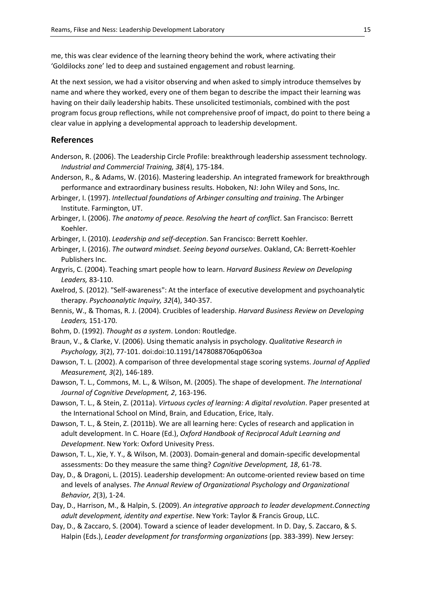me, this was clear evidence of the learning theory behind the work, where activating their 'Goldilocks zone' led to deep and sustained engagement and robust learning.

At the next session, we had a visitor observing and when asked to simply introduce themselves by name and where they worked, every one of them began to describe the impact their learning was having on their daily leadership habits. These unsolicited testimonials, combined with the post program focus group reflections, while not comprehensive proof of impact, do point to there being a clear value in applying a developmental approach to leadership development.

# **References**

- Anderson, R. (2006). The Leadership Circle Profile: breakthrough leadership assessment technology. *Industrial and Commercial Training, 38*(4), 175-184.
- Anderson, R., & Adams, W. (2016). Mastering leadership. An integrated framework for breakthrough performance and extraordinary business results. Hoboken, NJ: John Wiley and Sons, Inc.
- Arbinger, I. (1997). *Intellectual foundations of Arbinger consulting and training*. The Arbinger Institute. Farmington, UT.
- Arbinger, I. (2006). *The anatomy of peace. Resolving the heart of conflict*. San Francisco: Berrett Koehler.
- Arbinger, I. (2010). *Leadership and self-deception*. San Francisco: Berrett Koehler.
- Arbinger, I. (2016). *The outward mindset. Seeing beyond ourselves*. Oakland, CA: Berrett-Koehler Publishers Inc.
- Argyris, C. (2004). Teaching smart people how to learn. *Harvard Business Review on Developing Leaders,* 83-110.
- Axelrod, S. (2012). "Self-awareness": At the interface of executive development and psychoanalytic therapy. *Psychoanalytic Inquiry, 32*(4), 340-357.
- Bennis, W., & Thomas, R. J. (2004). Crucibles of leadership. *Harvard Business Review on Developing Leaders,* 151-170.
- Bohm, D. (1992). *Thought as a system*. London: Routledge.
- Braun, V., & Clarke, V. (2006). Using thematic analysis in psychology. *Qualitative Research in Psychology, 3*(2), 77-101. doi:doi:10.1191/1478088706qp063oa
- Dawson, T. L. (2002). A comparison of three developmental stage scoring systems. *Journal of Applied Measurement, 3*(2), 146-189.
- Dawson, T. L., Commons, M. L., & Wilson, M. (2005). The shape of development. *The International Journal of Cognitive Development, 2*, 163-196.
- Dawson, T. L., & Stein, Z. (2011a). *Virtuous cycles of learning: A digital revolution*. Paper presented at the International School on Mind, Brain, and Education, Erice, Italy.
- Dawson, T. L., & Stein, Z. (2011b). We are all learning here: Cycles of research and application in adult development. In C. Hoare (Ed.), *Oxford Handbook of Reciprocal Adult Learning and Development*. New York: Oxford Univesity Press.
- Dawson, T. L., Xie, Y. Y., & Wilson, M. (2003). Domain-general and domain-specific developmental assessments: Do they measure the same thing? *Cognitive Development, 18*, 61-78.
- Day, D., & Dragoni, L. (2015). Leadership development: An outcome-oriented review based on time and levels of analyses. *The Annual Review of Organizational Psychology and Organizational Behavior, 2*(3), 1-24.
- Day, D., Harrison, M., & Halpin, S. (2009). *An integrative approach to leader development.Connecting adult development, identity and expertise*. New York: Taylor & Francis Group, LLC.
- Day, D., & Zaccaro, S. (2004). Toward a science of leader development. In D. Day, S. Zaccaro, & S. Halpin (Eds.), *Leader development for transforming organizations* (pp. 383-399). New Jersey: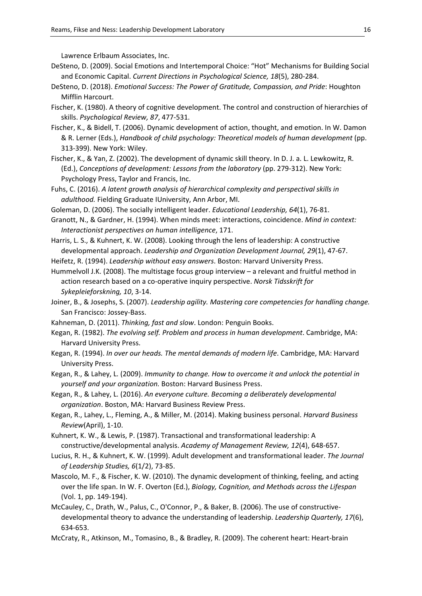Lawrence Erlbaum Associates, Inc.

- DeSteno, D. (2009). Social Emotions and Intertemporal Choice: "Hot" Mechanisms for Building Social and Economic Capital. *Current Directions in Psychological Science, 18*(5), 280-284.
- DeSteno, D. (2018). *Emotional Success: The Power of Gratitude, Compassion, and Pride*: Houghton Mifflin Harcourt.
- Fischer, K. (1980). A theory of cognitive development. The control and construction of hierarchies of skills. *Psychological Review, 87*, 477-531.
- Fischer, K., & Bidell, T. (2006). Dynamic development of action, thought, and emotion. In W. Damon & R. Lerner (Eds.), *Handbook of child psychology: Theoretical models of human development* (pp. 313-399). New York: Wiley.
- Fischer, K., & Yan, Z. (2002). The development of dynamic skill theory. In D. J. a. L. Lewkowitz, R. (Ed.), *Conceptions of development: Lessons from the laboratory* (pp. 279-312). New York: Psychology Press, Taylor and Francis, Inc.
- Fuhs, C. (2016). *A latent growth analysis of hierarchical complexity and perspectival skills in adulthood.* Fielding Graduate IUniversity, Ann Arbor, MI.
- Goleman, D. (2006). The socially intelligent leader. *Educational Leadership, 64*(1), 76-81.
- Granott, N., & Gardner, H. (1994). When minds meet: interactions, coincidence. *Mind in context: Interactionist perspectives on human intelligence*, 171.
- Harris, L. S., & Kuhnert, K. W. (2008). Looking through the lens of leadership: A constructive developmental approach. *Leadership and Organization Development Journal, 29*(1), 47-67.
- Heifetz, R. (1994). *Leadership without easy answers*. Boston: Harvard University Press.
- Hummelvoll J.K. (2008). The multistage focus group interview a relevant and fruitful method in action research based on a co-operative inquiry perspective. *Norsk Tidsskrift for Sykepleieforskning, 10*, 3-14.
- Joiner, B., & Josephs, S. (2007). *Leadership agility. Mastering core competencies for handling change.* San Francisco: Jossey-Bass.
- Kahneman, D. (2011). *Thinking, fast and slow*. London: Penguin Books.
- Kegan, R. (1982). *The evolving self. Problem and process in human development*. Cambridge, MA: Harvard University Press.
- Kegan, R. (1994). *In over our heads. The mental demands of modern life*. Cambridge, MA: Harvard University Press.
- Kegan, R., & Lahey, L. (2009). *Immunity to change. How to overcome it and unlock the potential in yourself and your organization.* Boston: Harvard Business Press.
- Kegan, R., & Lahey, L. (2016). *An everyone culture. Becoming a deliberately developmental organization*. Boston, MA: Harvard Business Review Press.
- Kegan, R., Lahey, L., Fleming, A., & Miller, M. (2014). Making business personal. *Harvard Business Review*(April), 1-10.
- Kuhnert, K. W., & Lewis, P. (1987). Transactional and transformational leadership: A constructive/developmental analysis. *Academy of Management Review, 12*(4), 648-657.
- Lucius, R. H., & Kuhnert, K. W. (1999). Adult development and transformational leader. *The Journal of Leadership Studies, 6*(1/2), 73-85.
- Mascolo, M. F., & Fischer, K. W. (2010). The dynamic development of thinking, feeling, and acting over the life span. In W. F. Overton (Ed.), *Biology, Cognition, and Methods across the Lifespan* (Vol. 1, pp. 149-194).
- McCauley, C., Drath, W., Palus, C., O'Connor, P., & Baker, B. (2006). The use of constructivedevelopmental theory to advance the understanding of leadership. *Leadership Quarterly, 17*(6), 634-653.
- McCraty, R., Atkinson, M., Tomasino, B., & Bradley, R. (2009). The coherent heart: Heart-brain